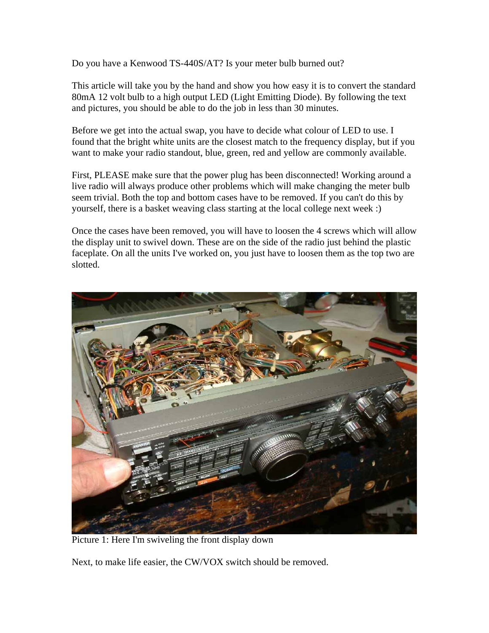Do you have a Kenwood TS-440S/AT? Is your meter bulb burned out?

This article will take you by the hand and show you how easy it is to convert the standard 80mA 12 volt bulb to a high output LED (Light Emitting Diode). By following the text and pictures, you should be able to do the job in less than 30 minutes.

Before we get into the actual swap, you have to decide what colour of LED to use. I found that the bright white units are the closest match to the frequency display, but if you want to make your radio standout, blue, green, red and yellow are commonly available.

First, PLEASE make sure that the power plug has been disconnected! Working around a live radio will always produce other problems which will make changing the meter bulb seem trivial. Both the top and bottom cases have to be removed. If you can't do this by yourself, there is a basket weaving class starting at the local college next week :)

Once the cases have been removed, you will have to loosen the 4 screws which will allow the display unit to swivel down. These are on the side of the radio just behind the plastic faceplate. On all the units I've worked on, you just have to loosen them as the top two are slotted.



Picture 1: Here I'm swiveling the front display down

Next, to make life easier, the CW/VOX switch should be removed.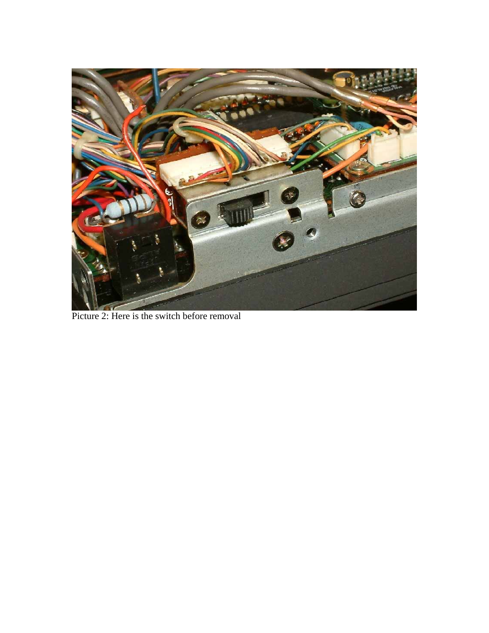

Picture 2: Here is the switch before removal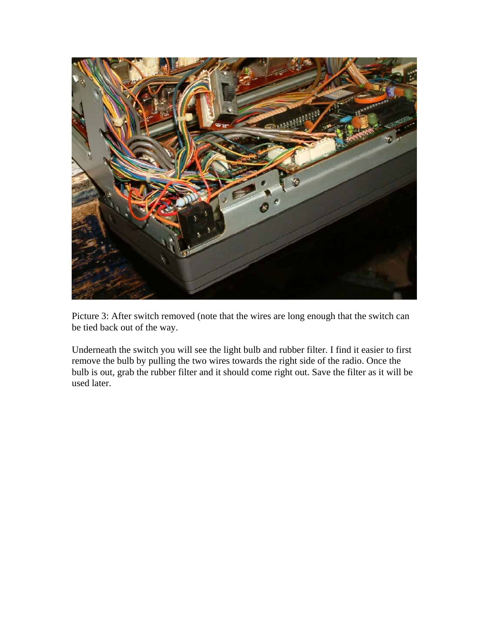

Picture 3: After switch removed (note that the wires are long enough that the switch can be tied back out of the way.

Underneath the switch you will see the light bulb and rubber filter. I find it easier to first remove the bulb by pulling the two wires towards the right side of the radio. Once the bulb is out, grab the rubber filter and it should come right out. Save the filter as it will be used later.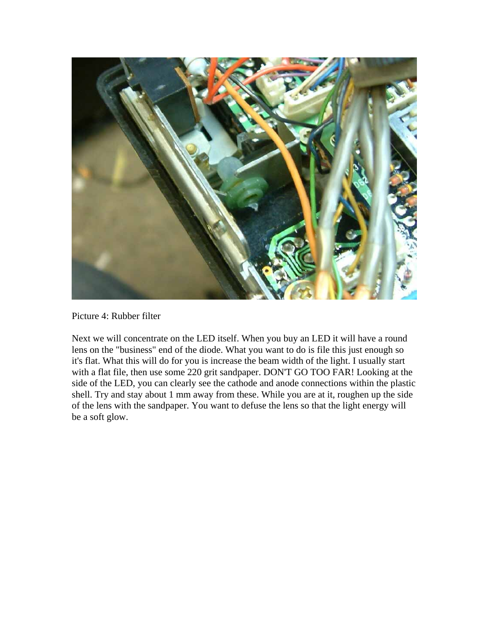

Picture 4: Rubber filter

Next we will concentrate on the LED itself. When you buy an LED it will have a round lens on the "business" end of the diode. What you want to do is file this just enough so it's flat. What this will do for you is increase the beam width of the light. I usually start with a flat file, then use some 220 grit sandpaper. DON'T GO TOO FAR! Looking at the side of the LED, you can clearly see the cathode and anode connections within the plastic shell. Try and stay about 1 mm away from these. While you are at it, roughen up the side of the lens with the sandpaper. You want to defuse the lens so that the light energy will be a soft glow.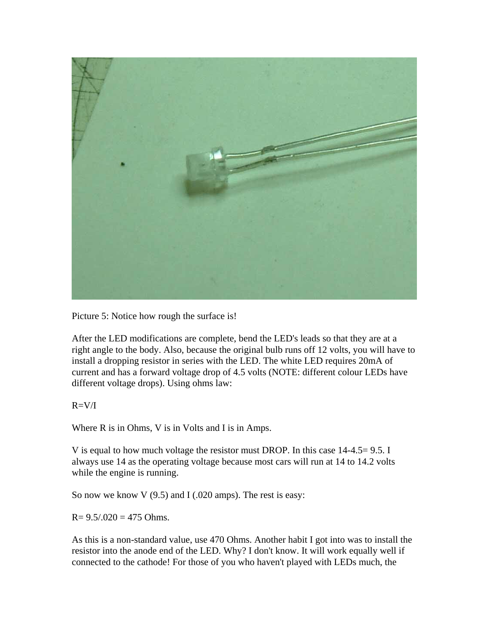

Picture 5: Notice how rough the surface is!

After the LED modifications are complete, bend the LED's leads so that they are at a right angle to the body. Also, because the original bulb runs off 12 volts, you will have to install a dropping resistor in series with the LED. The white LED requires 20mA of current and has a forward voltage drop of 4.5 volts (NOTE: different colour LEDs have different voltage drops). Using ohms law:

 $R=V/I$ 

Where R is in Ohms, V is in Volts and I is in Amps.

V is equal to how much voltage the resistor must DROP. In this case 14-4.5= 9.5. I always use 14 as the operating voltage because most cars will run at 14 to 14.2 volts while the engine is running.

So now we know V  $(9.5)$  and I  $(.020$  amps). The rest is easy:

 $R = 9.5/0.020 = 475$  Ohms.

As this is a non-standard value, use 470 Ohms. Another habit I got into was to install the resistor into the anode end of the LED. Why? I don't know. It will work equally well if connected to the cathode! For those of you who haven't played with LEDs much, the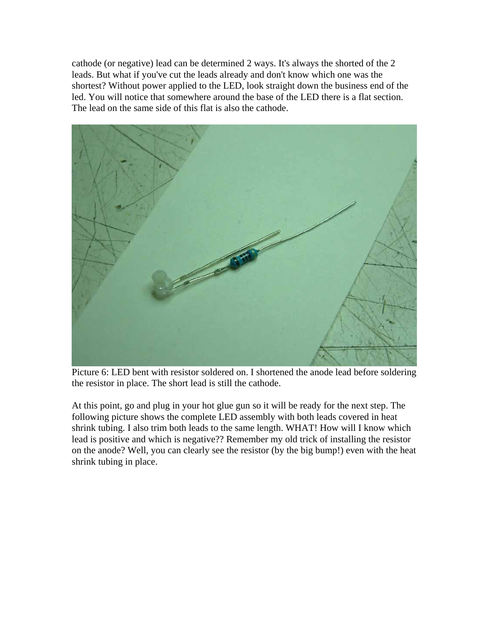cathode (or negative) lead can be determined 2 ways. It's always the shorted of the 2 leads. But what if you've cut the leads already and don't know which one was the shortest? Without power applied to the LED, look straight down the business end of the led. You will notice that somewhere around the base of the LED there is a flat section. The lead on the same side of this flat is also the cathode.



Picture 6: LED bent with resistor soldered on. I shortened the anode lead before soldering the resistor in place. The short lead is still the cathode.

At this point, go and plug in your hot glue gun so it will be ready for the next step. The following picture shows the complete LED assembly with both leads covered in heat shrink tubing. I also trim both leads to the same length. WHAT! How will I know which lead is positive and which is negative?? Remember my old trick of installing the resistor on the anode? Well, you can clearly see the resistor (by the big bump!) even with the heat shrink tubing in place.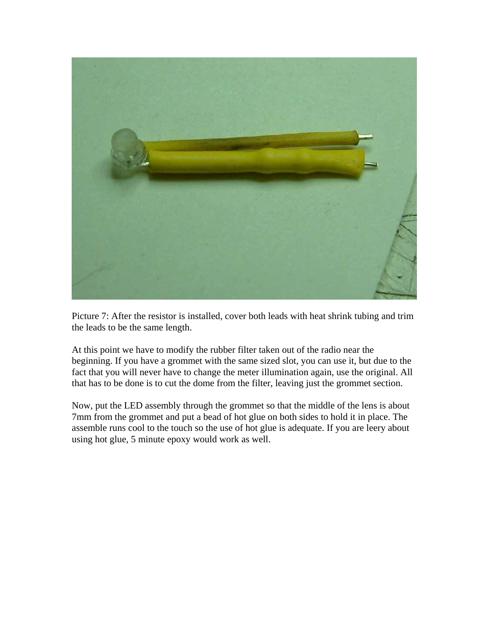

Picture 7: After the resistor is installed, cover both leads with heat shrink tubing and trim the leads to be the same length.

At this point we have to modify the rubber filter taken out of the radio near the beginning. If you have a grommet with the same sized slot, you can use it, but due to the fact that you will never have to change the meter illumination again, use the original. All that has to be done is to cut the dome from the filter, leaving just the grommet section.

Now, put the LED assembly through the grommet so that the middle of the lens is about 7mm from the grommet and put a bead of hot glue on both sides to hold it in place. The assemble runs cool to the touch so the use of hot glue is adequate. If you are leery about using hot glue, 5 minute epoxy would work as well.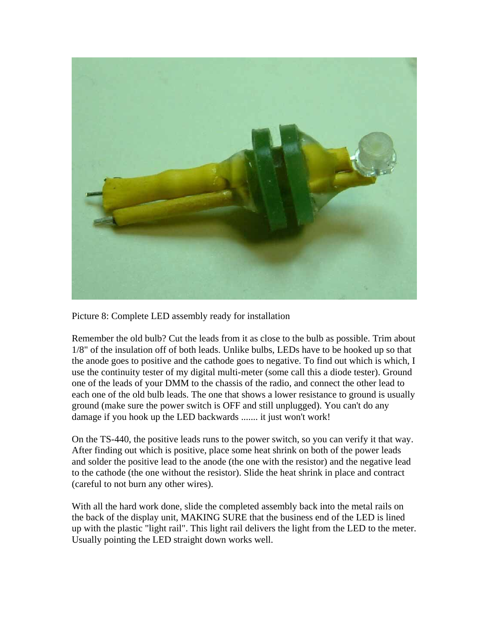

Picture 8: Complete LED assembly ready for installation

Remember the old bulb? Cut the leads from it as close to the bulb as possible. Trim about 1/8" of the insulation off of both leads. Unlike bulbs, LEDs have to be hooked up so that the anode goes to positive and the cathode goes to negative. To find out which is which, I use the continuity tester of my digital multi-meter (some call this a diode tester). Ground one of the leads of your DMM to the chassis of the radio, and connect the other lead to each one of the old bulb leads. The one that shows a lower resistance to ground is usually ground (make sure the power switch is OFF and still unplugged). You can't do any damage if you hook up the LED backwards ....... it just won't work!

On the TS-440, the positive leads runs to the power switch, so you can verify it that way. After finding out which is positive, place some heat shrink on both of the power leads and solder the positive lead to the anode (the one with the resistor) and the negative lead to the cathode (the one without the resistor). Slide the heat shrink in place and contract (careful to not burn any other wires).

With all the hard work done, slide the completed assembly back into the metal rails on the back of the display unit, MAKING SURE that the business end of the LED is lined up with the plastic "light rail". This light rail delivers the light from the LED to the meter. Usually pointing the LED straight down works well.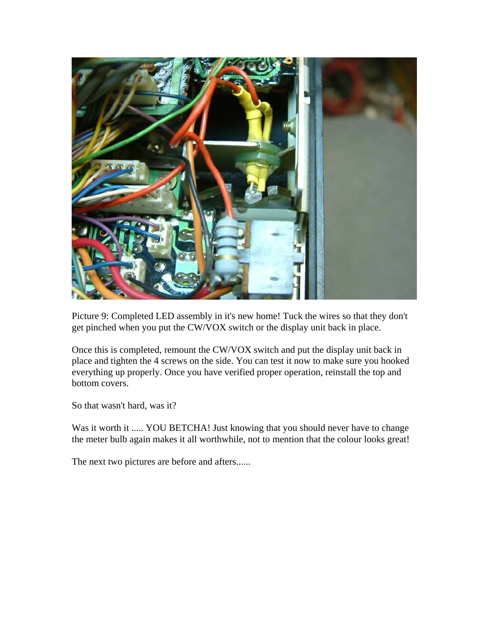

Picture 9: Completed LED assembly in it's new home! Tuck the wires so that they don't get pinched when you put the CW/VOX switch or the display unit back in place.

Once this is completed, remount the CW/VOX switch and put the display unit back in place and tighten the 4 screws on the side. You can test it now to make sure you hooked everything up properly. Once you have verified proper operation, reinstall the top and bottom covers.

So that wasn't hard, was it?

Was it worth it ..... YOU BETCHA! Just knowing that you should never have to change the meter bulb again makes it all worthwhile, not to mention that the colour looks great!

The next two pictures are before and afters......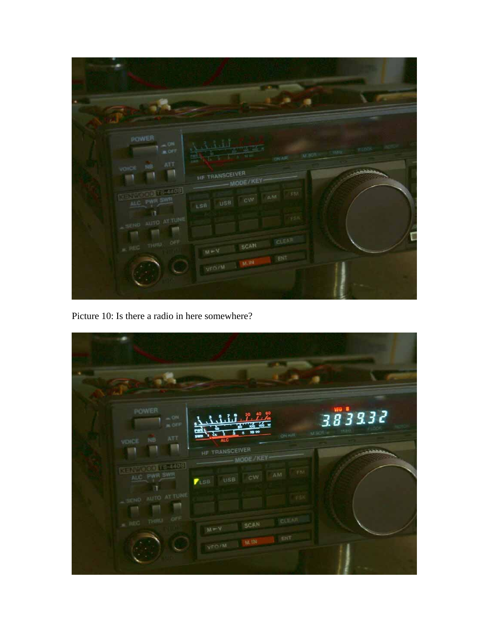| <b>POWER</b><br>$\sim$ ON<br><b>BOFF</b><br><b>ATT</b><br>ses.<br>VOIGE<br><b>BENEVAL TEMPER</b><br>ALC: PWR SWR<br><b>AUTO AT TUNG</b><br><b>COMMERCIAL SERVICE</b><br>OFF<br>THEO.<br><b>CALLE</b> | <b>Window</b><br><b>MECR</b><br><b>ON AIR</b><br>HF TRANSCEIVER<br>MODE/KEY<br>stin<br>AM <sup>1</sup><br><b>OW</b><br>USB<br>$t$ SB<br>CLEAR<br>SCAN<br>$M + N$<br>EIT<br>M. IN<br><b>VED/M</b> | L |
|------------------------------------------------------------------------------------------------------------------------------------------------------------------------------------------------------|--------------------------------------------------------------------------------------------------------------------------------------------------------------------------------------------------|---|

Picture 10: Is there a radio in here somewhere?

| POWER<br>$=$ ON<br><b>MOFF</b>                                               | $\mathbf{1}$<br>$\frac{1}{200}$ as $\frac{1}{20}$<br>10:00<br>ù                                                           | 383932 |
|------------------------------------------------------------------------------|---------------------------------------------------------------------------------------------------------------------------|--------|
| $\operatorname{ATT}$<br>NB:<br>VOICE<br><b>KENPOCH REMOS</b><br>ALC: PWR SWR | <b>ON ABL</b><br>swn<br><b>ALC</b><br>HE TRANSCEIVER<br>MODE/KEY<br><b>TIM</b><br>$-0.76$<br>CW<br>USB.<br>$\blacksquare$ |        |
| ALLTO AT TUNE<br><b>ASSEND</b><br><b>OSE</b><br><b>TTARE</b><br>$=$ REQ      | CLEAR<br><b>SCAN</b><br>$M = 1$                                                                                           |        |
|                                                                              | ENT<br>M. IN<br>VFO/M                                                                                                     |        |